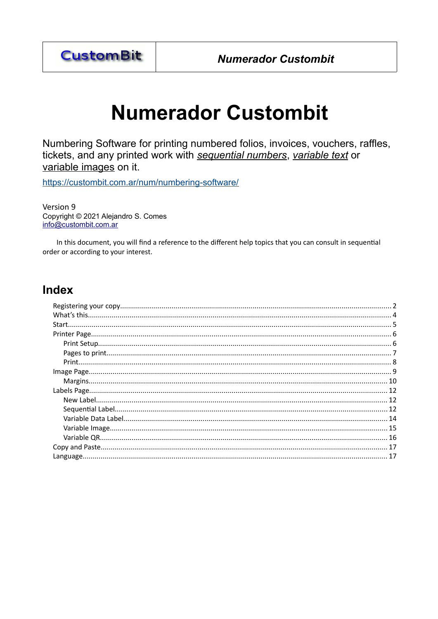

Numbering Software for printing numbered folios, invoices, vouchers, raffles, tickets, and any printed work with sequential numbers, variable text or variable images on it.

https://custombit.com.ar/num/numbering-software/

Version 9 Copyright © 2021 Alejandro S. Comes info@custombit.com.ar

In this document, you will find a reference to the different help topics that you can consult in sequential order or according to your interest.

# **Index**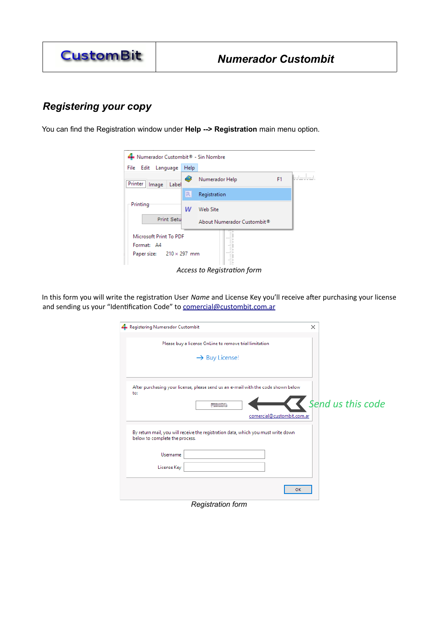# <span id="page-1-0"></span>*Registering your copy*

You can find the Registration window under **Help --> Registration** main menu option.



*Access to Registration form*

In this form you will write the registration User *Name* and License Key you'll receive after purchasing your license and sending us your "Identification Code" to [comercial@custombit.com.ar](mailto:comercial@custombit.com.ar?subject=Numerador)

| Registering Numerador Custombit |                                                                                   | ×                 |
|---------------------------------|-----------------------------------------------------------------------------------|-------------------|
|                                 | Please buy a license OnLine to remove trial limitation                            |                   |
|                                 | $\rightarrow$ Buy License!                                                        |                   |
|                                 |                                                                                   |                   |
| to:                             | After purchasing your license, please send us an e-mail with the code shown below |                   |
|                                 | <b>PASSAGE</b>                                                                    | Send us this code |
|                                 | comercial@custombit.com.ar                                                        |                   |
| below to complete the process.  | By return mail, you will receive the registration data, which you must write down |                   |
| Username                        |                                                                                   |                   |
| License Key                     |                                                                                   |                   |
|                                 |                                                                                   | OK                |
|                                 | Registration form                                                                 |                   |

*Registration form*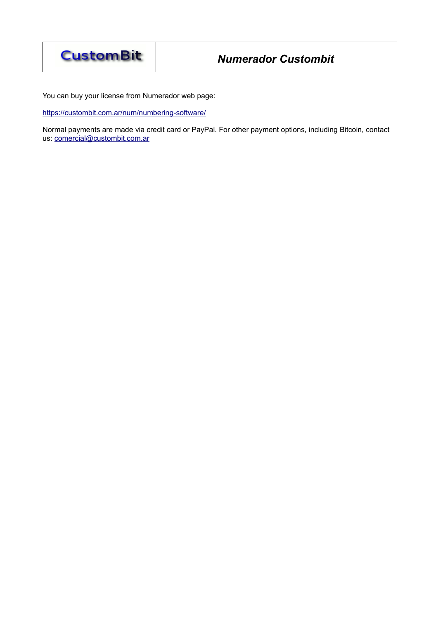

You can buy your license from Numerador web page:

<https://custombit.com.ar/num/numbering-software/>

Normal payments are made via credit card or PayPal. For other payment options, including Bitcoin, contact us: comercial@custombit.com.ar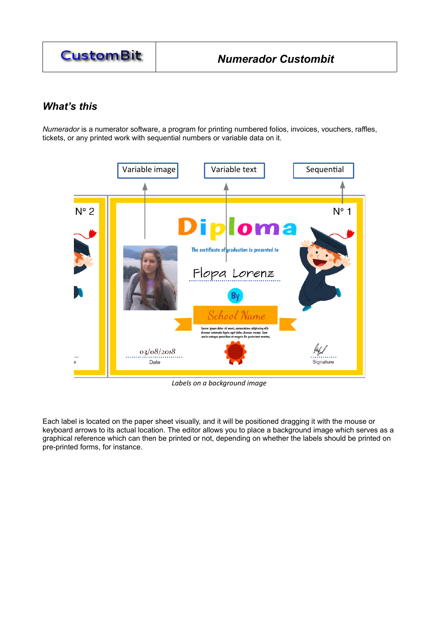

# <span id="page-3-0"></span>*What's this*

*Numerador* is a numerator software, a program for printing numbered folios, invoices, vouchers, raffles, tickets, or any printed work with sequential numbers or variable data on it.



*Labels on a background image*

Each label is located on the paper sheet visually, and it will be positioned dragging it with the mouse or keyboard arrows to its actual location. The editor allows you to place a background image which serves as a graphical reference which can then be printed or not, depending on whether the labels should be printed on pre-printed forms, for instance.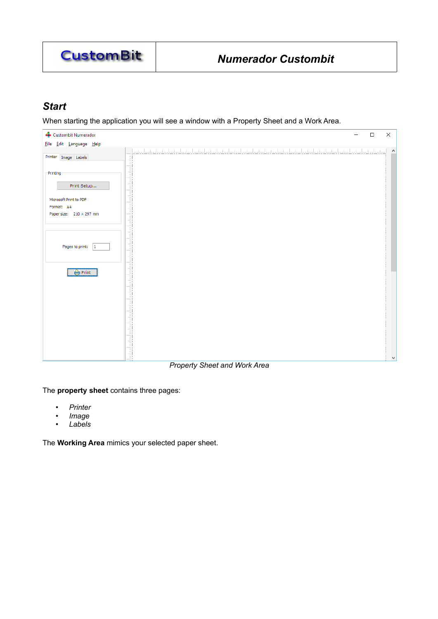

# <span id="page-4-0"></span>*Start*

When starting the application you will see a window with a Property Sheet and a Work Area.



*Property Sheet and Work Area*

The **property sheet** contains three pages:

- *Printer*
- *Image*
- *Labels*

The **Working Area** mimics your selected paper sheet.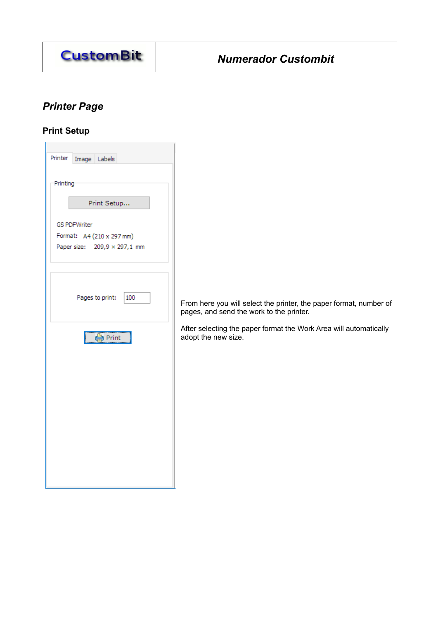

# <span id="page-5-1"></span>*Printer Page*

# <span id="page-5-0"></span>**Print Setup**

| Printer<br>Image Labels      |
|------------------------------|
| Printing                     |
| Print Setup                  |
| <b>GS PDFWriter</b>          |
| Format: A4 (210 x 297 mm)    |
| Paper size: 209,9 × 297,1 mm |
|                              |
|                              |
| Pages to print:<br>100       |
| $\Box$                       |
|                              |
|                              |
|                              |
|                              |
|                              |
|                              |

From here you will select the printer, the paper format, number of pages, and send the work to the printer.

After selecting the paper format the Work Area will automatically adopt the new size.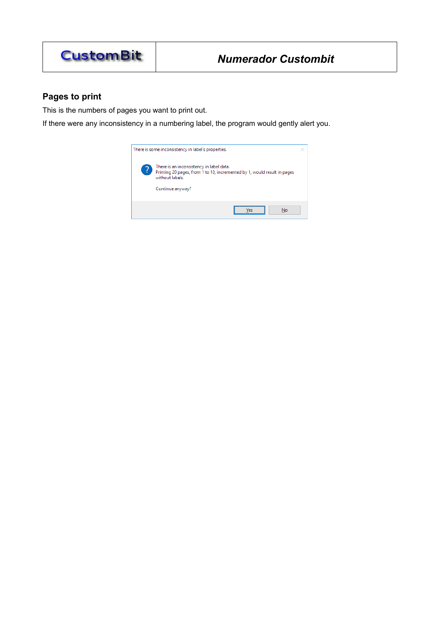

# <span id="page-6-0"></span>**Pages to print**

This is the numbers of pages you want to print out.

If there were any inconsistency in a numbering label, the program would gently alert you.

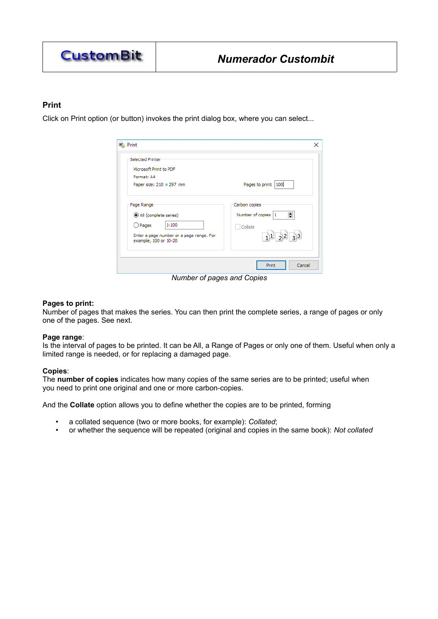

### <span id="page-7-0"></span>**Print**

Click on Print option (or button) invokes the print dialog box, where you can select...

| Print                                                                                                                                                  | ×                                                                             |
|--------------------------------------------------------------------------------------------------------------------------------------------------------|-------------------------------------------------------------------------------|
| Selected Printer<br>Microsoft Print to PDF<br>Format: A4<br>Paper size: $210 \times 297$ mm                                                            | Pages to print: 100                                                           |
| Page Range <sup>®</sup><br>All (complete series)<br>$1 - 100$<br>$\bigcirc$ Pages<br>Enter a page number or a page range. For<br>example, 100 or 10-20 | Carbon copies<br>$\div$<br>Number of copies<br>1<br>Collate<br>$11$ $22$ $33$ |
|                                                                                                                                                        | Cancel<br>Print                                                               |

*Number of pages and Copies*

#### **Pages to print:**

Number of pages that makes the series. You can then print the complete series, a range of pages or only one of the pages. See next.

#### **Page range**:

Is the interval of pages to be printed. It can be All, a Range of Pages or only one of them. Useful when only a limited range is needed, or for replacing a damaged page.

### **Copies**:

The **number of copies** indicates how many copies of the same series are to be printed; useful when you need to print one original and one or more carbon-copies.

And the **Collate** option allows you to define whether the copies are to be printed, forming

- a collated sequence (two or more books, for example): *Collated*;
- or whether the sequence will be repeated (original and copies in the same book): *Not collated*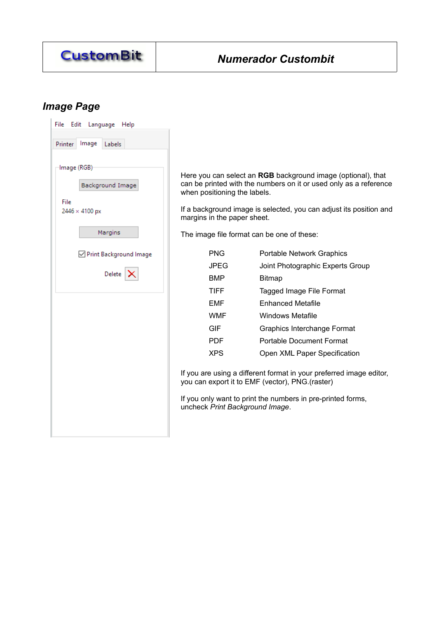

# <span id="page-8-0"></span>*Image Page*

| File<br>Edit           | Language Help            |
|------------------------|--------------------------|
| Printer                | Image Labels             |
| Image (RGB)            |                          |
|                        | Background Image         |
| File<br>2446 × 4100 px |                          |
|                        | Margins                  |
|                        | ☑ Print Background Image |
|                        | Delete $ \mathsf{X} $    |
|                        |                          |
|                        |                          |
|                        |                          |
|                        |                          |
|                        |                          |
|                        |                          |
|                        |                          |

Here you can select an **RGB** background image (optional), that can be printed with the numbers on it or used only as a reference when positioning the labels.

If a background image is selected, you can adjust its position and margins in the paper sheet.

The image file format can be one of these:

| <b>PNG</b>  | <b>Portable Network Graphics</b> |
|-------------|----------------------------------|
| JPEG        | Joint Photographic Experts Group |
| <b>BMP</b>  | Bitmap                           |
| <b>TIFF</b> | Tagged Image File Format         |
| FMF         | <b>Enhanced Metafile</b>         |
| <b>WMF</b>  | Windows Metafile                 |
| GIF         | Graphics Interchange Format      |
| <b>PDF</b>  | <b>Portable Document Format</b>  |
| XPS         | Open XML Paper Specification     |

If you are using a different format in your preferred image editor, you can export it to EMF (vector), PNG.(raster)

If you only want to print the numbers in pre-printed forms, uncheck *Print Background Image*.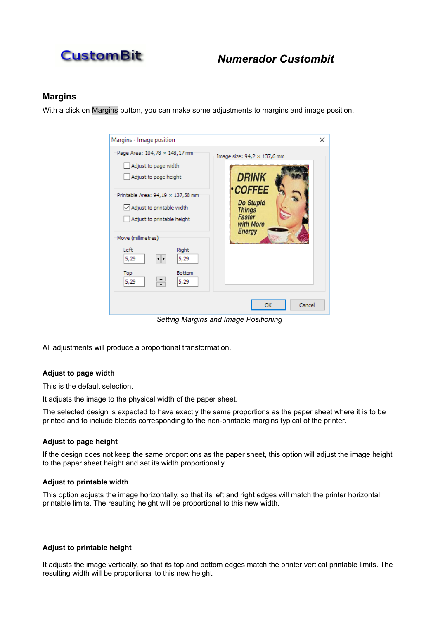

### <span id="page-9-0"></span>**Margins**

With a click on Margins button, you can make some adjustments to margins and image position.

| Margins - Image position                                                                                                         | ×                                                                   |
|----------------------------------------------------------------------------------------------------------------------------------|---------------------------------------------------------------------|
| Page Area: 104,78 × 148,17 mm<br>Adjust to page width<br>Adjust to page height                                                   | Image size: $94,2 \times 137,6$ mm<br><b>DRINK</b><br><b>COFFEE</b> |
| Printable Area: $94,19 \times 137,58$ mm<br>$\vee$ Adjust to printable width<br>Adjust to printable height<br>Move (millimetres) | Do Stupid<br><b>Things</b><br>Faster<br>with More<br><b>Energy</b>  |
| Left<br>Right<br>5,29<br>5,29<br>ا⊧ا<br><b>Bottom</b><br>Top<br>÷<br>5,29<br>5,29                                                |                                                                     |
|                                                                                                                                  | Cancel<br>OK                                                        |

*Setting Margins and Image Positioning*

All adjustments will produce a proportional transformation.

### **Adjust to page width**

This is the default selection.

It adjusts the image to the physical width of the paper sheet.

The selected design is expected to have exactly the same proportions as the paper sheet where it is to be printed and to include bleeds corresponding to the non-printable margins typical of the printer.

### **Adjust to page height**

If the design does not keep the same proportions as the paper sheet, this option will adjust the image height to the paper sheet height and set its width proportionally.

### **Adjust to printable width**

This option adjusts the image horizontally, so that its left and right edges will match the printer horizontal printable limits. The resulting height will be proportional to this new width.

#### **Adjust to printable height**

It adjusts the image vertically, so that its top and bottom edges match the printer vertical printable limits. The resulting width will be proportional to this new height.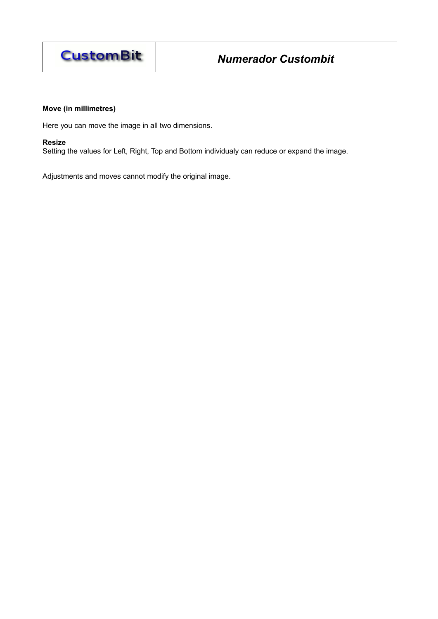

### **Move (in millimetres)**

Here you can move the image in all two dimensions.

#### **Resize**

Setting the values for Left, Right, Top and Bottom individualy can reduce or expand the image.

Adjustments and moves cannot modify the original image.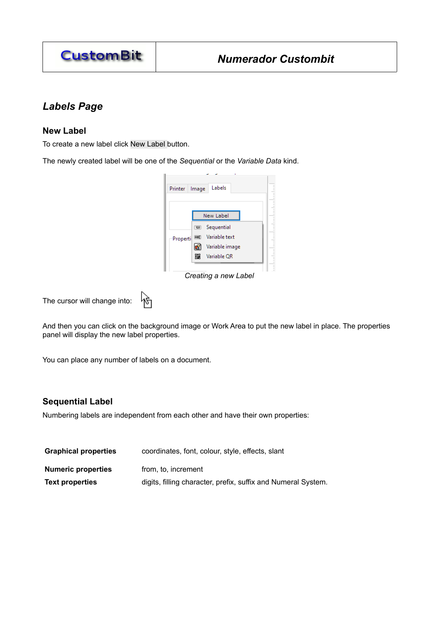

# <span id="page-11-2"></span>*Labels Page*

### <span id="page-11-1"></span>**New Label**

To create a new label click New Label button.

The newly created label will be one of the *Sequential* or the *Variable Data* kind.



*Creating a new Label*

৸৳ The cursor will change into:

And then you can click on the background image or Work Area to put the new label in place. The properties panel will display the new label properties.

You can place any number of labels on a document.

## <span id="page-11-0"></span>**Sequential Label**

Numbering labels are independent from each other and have their own properties:

| <b>Graphical properties</b> | coordinates, font, colour, style, effects, slant              |
|-----------------------------|---------------------------------------------------------------|
| <b>Numeric properties</b>   | from, to, increment                                           |
| <b>Text properties</b>      | digits, filling character, prefix, suffix and Numeral System. |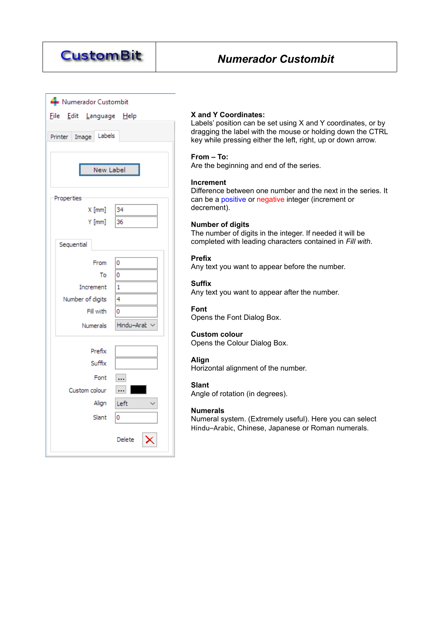

| Numerador Custombit        |            |
|----------------------------|------------|
| File Edit Language Help    |            |
| Labels<br>Image<br>Printer |            |
|                            |            |
| New Label                  |            |
| Properties                 |            |
| $X$ [mm]                   | 34         |
| $Y$ [mm]                   | 36         |
| Sequential                 |            |
| From                       | ٥          |
| То                         | 0          |
| Increment                  | 1          |
| Number of digits           | 4          |
| Fill with                  | 0          |
| Numerals                   | Hindu-Arab |
| Prefix                     |            |
| Suffix                     |            |
| Font                       |            |
| Custom colour              |            |
| Align                      | Left       |
| Slant                      | 0          |
|                            |            |
|                            | Delete     |

### **X and Y Coordinates:**

Labels' position can be set using X and Y coordinates, or by dragging the label with the mouse or holding down the CTRL key while pressing either the left, right, up or down arrow.

#### **From – To:**

Are the beginning and end of the series.

#### **Increment**

Difference between one number and the next in the series. It can be a positive or negative integer (increment or decrement).

#### **Number of digits**

The number of digits in the integer. If needed it will be completed with leading characters contained in *Fill with*.

### **Prefix**

Any text you want to appear before the number.

#### **Suffix**

Any text you want to appear after the number.

### **Font**

Opens the Font Dialog Box.

### **Custom colour**

Opens the Colour Dialog Box.

### **Align**

Horizontal alignment of the number.

### **Slant**

Angle of rotation (in degrees).

### **Numerals**

Numeral system. (Extremely useful). Here you can select Hindu–Arabic, Chinese, Japanese or Roman numerals.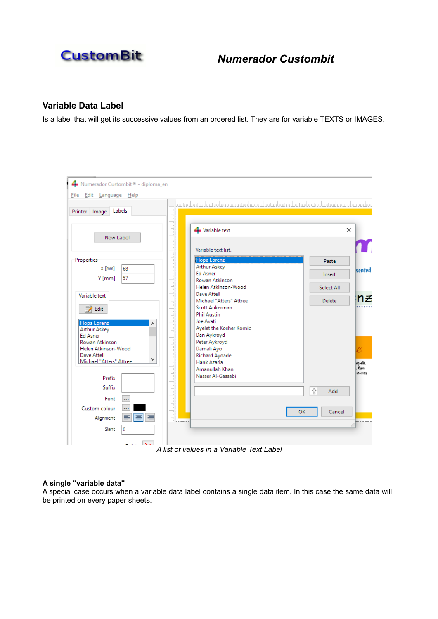

# <span id="page-13-0"></span>**Variable Data Label**

Is a label that will get its successive values from an ordered list. They are for variable TEXTS or IMAGES.



### **A single "variable data"**

A special case occurs when a variable data label contains a single data item. In this case the same data will be printed on every paper sheets.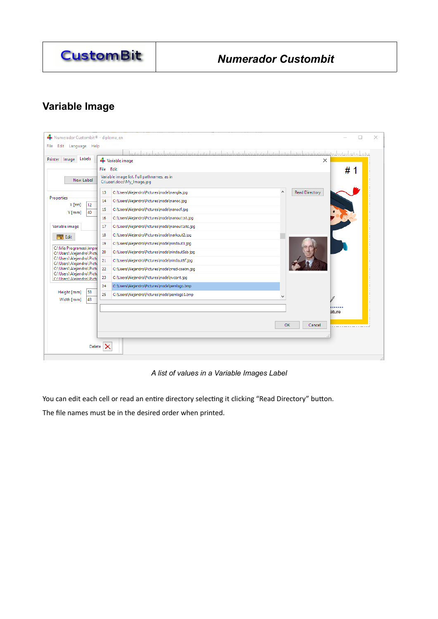

# <span id="page-14-0"></span>**Variable Image**

| Labels<br>Printer Image<br>Variable image<br>X<br># 1<br>File Edit<br>Variable image list. Full pathnames, as in<br>New Label<br>C:\user\docs\My_lmage.jpg<br>۸<br><b>Read Directory</b><br>C: \Users \Alejandro \Pictures \moda \mangla.jpg<br>13<br><b>Properties</b><br>C:\Users\Alejandro\Pictures\moda\manoc.jpg<br>14<br>$X$ [mm]<br>12<br>C:\Users\Alejandro\Pictures\moda\manocf.jpg<br>15<br>40<br>$Y$ [mm]<br>C:\Users\Alejandro\Pictures\moda\manout1st.jpg<br>16<br>Variable image<br>C:\Users\Alejandro\Pictures\moda\manout1stc.jpg<br>17<br>C: \Users \Alejandro \Pictures \moda \markout2.jpg<br>18<br>V Edit<br>19<br>C:\Users\Alejandro\Pictures\moda\mindout3.jpg<br>C:\Mis Programas\Impre<br>20<br>C: \Users \Alejandro \Pictures \moda \mindout5sb.jpg<br>C:\Users\Alejandro\Pictu<br>C:\Users\Alejandro\Pictu<br>21<br>C: \Users \Alejandro \Pictures \moda \mindout6f.jpg<br>C:\Users\Alejandro\Pictu<br>C:\Users\Alejandro\Picti<br>C:\Users\Alejandro\Pictures\moda\nnsd-coatm.jpq<br>22<br>C:\Users\Alejandro\Pictu<br>C:\Users\Alejandro\Pictures\moda\nvcont.jpg<br>23<br>C:\Users\Aleiandro\Picti<br>24<br>C:\Users\Alejandro\Pictures\moda\oemlogo.bmp<br>53<br>Height [mm]<br>25<br>C:\Users\Alejandro\Pictures\moda\oemlogo1.bmp<br>$\checkmark$<br>43<br>Width [mm]<br>ature<br>OK<br>Cancel | Edit Language Help<br><b>File</b> |  |  |  |  |  |
|--------------------------------------------------------------------------------------------------------------------------------------------------------------------------------------------------------------------------------------------------------------------------------------------------------------------------------------------------------------------------------------------------------------------------------------------------------------------------------------------------------------------------------------------------------------------------------------------------------------------------------------------------------------------------------------------------------------------------------------------------------------------------------------------------------------------------------------------------------------------------------------------------------------------------------------------------------------------------------------------------------------------------------------------------------------------------------------------------------------------------------------------------------------------------------------------------------------------------------------------------------------------------------------------------------------------------------|-----------------------------------|--|--|--|--|--|
|                                                                                                                                                                                                                                                                                                                                                                                                                                                                                                                                                                                                                                                                                                                                                                                                                                                                                                                                                                                                                                                                                                                                                                                                                                                                                                                                |                                   |  |  |  |  |  |
|                                                                                                                                                                                                                                                                                                                                                                                                                                                                                                                                                                                                                                                                                                                                                                                                                                                                                                                                                                                                                                                                                                                                                                                                                                                                                                                                |                                   |  |  |  |  |  |
|                                                                                                                                                                                                                                                                                                                                                                                                                                                                                                                                                                                                                                                                                                                                                                                                                                                                                                                                                                                                                                                                                                                                                                                                                                                                                                                                |                                   |  |  |  |  |  |
|                                                                                                                                                                                                                                                                                                                                                                                                                                                                                                                                                                                                                                                                                                                                                                                                                                                                                                                                                                                                                                                                                                                                                                                                                                                                                                                                |                                   |  |  |  |  |  |
|                                                                                                                                                                                                                                                                                                                                                                                                                                                                                                                                                                                                                                                                                                                                                                                                                                                                                                                                                                                                                                                                                                                                                                                                                                                                                                                                |                                   |  |  |  |  |  |
|                                                                                                                                                                                                                                                                                                                                                                                                                                                                                                                                                                                                                                                                                                                                                                                                                                                                                                                                                                                                                                                                                                                                                                                                                                                                                                                                |                                   |  |  |  |  |  |
|                                                                                                                                                                                                                                                                                                                                                                                                                                                                                                                                                                                                                                                                                                                                                                                                                                                                                                                                                                                                                                                                                                                                                                                                                                                                                                                                |                                   |  |  |  |  |  |
|                                                                                                                                                                                                                                                                                                                                                                                                                                                                                                                                                                                                                                                                                                                                                                                                                                                                                                                                                                                                                                                                                                                                                                                                                                                                                                                                |                                   |  |  |  |  |  |
|                                                                                                                                                                                                                                                                                                                                                                                                                                                                                                                                                                                                                                                                                                                                                                                                                                                                                                                                                                                                                                                                                                                                                                                                                                                                                                                                |                                   |  |  |  |  |  |
|                                                                                                                                                                                                                                                                                                                                                                                                                                                                                                                                                                                                                                                                                                                                                                                                                                                                                                                                                                                                                                                                                                                                                                                                                                                                                                                                |                                   |  |  |  |  |  |
|                                                                                                                                                                                                                                                                                                                                                                                                                                                                                                                                                                                                                                                                                                                                                                                                                                                                                                                                                                                                                                                                                                                                                                                                                                                                                                                                |                                   |  |  |  |  |  |
|                                                                                                                                                                                                                                                                                                                                                                                                                                                                                                                                                                                                                                                                                                                                                                                                                                                                                                                                                                                                                                                                                                                                                                                                                                                                                                                                |                                   |  |  |  |  |  |
|                                                                                                                                                                                                                                                                                                                                                                                                                                                                                                                                                                                                                                                                                                                                                                                                                                                                                                                                                                                                                                                                                                                                                                                                                                                                                                                                |                                   |  |  |  |  |  |
|                                                                                                                                                                                                                                                                                                                                                                                                                                                                                                                                                                                                                                                                                                                                                                                                                                                                                                                                                                                                                                                                                                                                                                                                                                                                                                                                |                                   |  |  |  |  |  |
|                                                                                                                                                                                                                                                                                                                                                                                                                                                                                                                                                                                                                                                                                                                                                                                                                                                                                                                                                                                                                                                                                                                                                                                                                                                                                                                                |                                   |  |  |  |  |  |
|                                                                                                                                                                                                                                                                                                                                                                                                                                                                                                                                                                                                                                                                                                                                                                                                                                                                                                                                                                                                                                                                                                                                                                                                                                                                                                                                |                                   |  |  |  |  |  |
|                                                                                                                                                                                                                                                                                                                                                                                                                                                                                                                                                                                                                                                                                                                                                                                                                                                                                                                                                                                                                                                                                                                                                                                                                                                                                                                                |                                   |  |  |  |  |  |
|                                                                                                                                                                                                                                                                                                                                                                                                                                                                                                                                                                                                                                                                                                                                                                                                                                                                                                                                                                                                                                                                                                                                                                                                                                                                                                                                |                                   |  |  |  |  |  |
|                                                                                                                                                                                                                                                                                                                                                                                                                                                                                                                                                                                                                                                                                                                                                                                                                                                                                                                                                                                                                                                                                                                                                                                                                                                                                                                                |                                   |  |  |  |  |  |
|                                                                                                                                                                                                                                                                                                                                                                                                                                                                                                                                                                                                                                                                                                                                                                                                                                                                                                                                                                                                                                                                                                                                                                                                                                                                                                                                |                                   |  |  |  |  |  |
| Delete $\mathsf{\times}$                                                                                                                                                                                                                                                                                                                                                                                                                                                                                                                                                                                                                                                                                                                                                                                                                                                                                                                                                                                                                                                                                                                                                                                                                                                                                                       |                                   |  |  |  |  |  |

*A list of values in a Variable Images Label*

You can edit each cell or read an entire directory selecting it clicking "Read Directory" button.

The file names must be in the desired order when printed.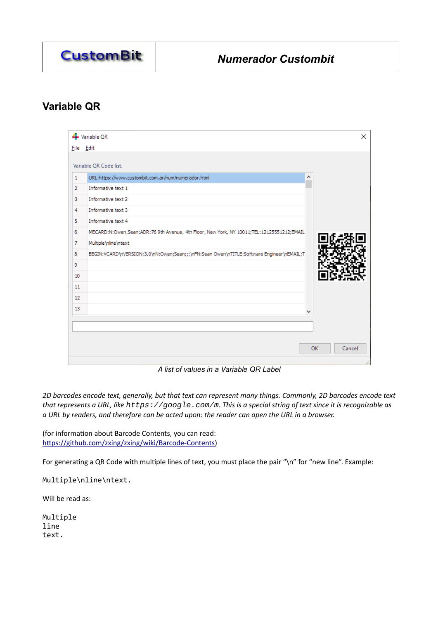

# <span id="page-15-0"></span>**Variable QR**

|                 | Variable QR                                                                               | ×                   |
|-----------------|-------------------------------------------------------------------------------------------|---------------------|
|                 | File Edit                                                                                 |                     |
|                 | Variable QR Code list.                                                                    |                     |
|                 |                                                                                           |                     |
| 1               | URL:https://www.custombit.com.ar/num/numerador.html                                       | ۸                   |
| $\overline{2}$  | Informative text 1                                                                        |                     |
| 3               | Informative text 2                                                                        |                     |
| $\overline{4}$  | Informative text 3                                                                        |                     |
| 5               | Informative text 4                                                                        |                     |
| 6               | MECARD:N:Owen,Sean;ADR:76 9th Avenue, 4th Floor, New York, NY 10011;TEL:12125551212;EMAIL |                     |
| $\overline{7}$  | Multiple \nline \ntext                                                                    |                     |
| 8               | BEGIN:VCARD\nVERSION:3.0\nN:Owen;Sean;;;\nFN:Sean Owen\nTITLE:Software Engineer\nEMAIL;T  |                     |
| 9               |                                                                                           |                     |
| 10 <sup>°</sup> |                                                                                           |                     |
| 11              |                                                                                           |                     |
| 12              |                                                                                           |                     |
| 13              |                                                                                           | v                   |
|                 |                                                                                           |                     |
|                 |                                                                                           |                     |
|                 |                                                                                           |                     |
|                 |                                                                                           | <b>OK</b><br>Cancel |
|                 |                                                                                           |                     |

*A list of values in a Variable QR Label*

*2D barcodes encode text, generally, but that text can represent many things. Commonly, 2D barcodes encode text that represents a URL, like https://google.com/m. This is a special string of text since it is recognizable as a URL by readers, and therefore can be acted upon: the reader can open the URL in a browser.* 

(for information about Barcode Contents, you can read: <https://github.com/zxing/zxing/wiki/Barcode-Contents>)

For generating a QR Code with multiple lines of text, you must place the pair "\n" for "new line". Example:

Multiple\nline\ntext.

Will be read as:

Multiple line text.